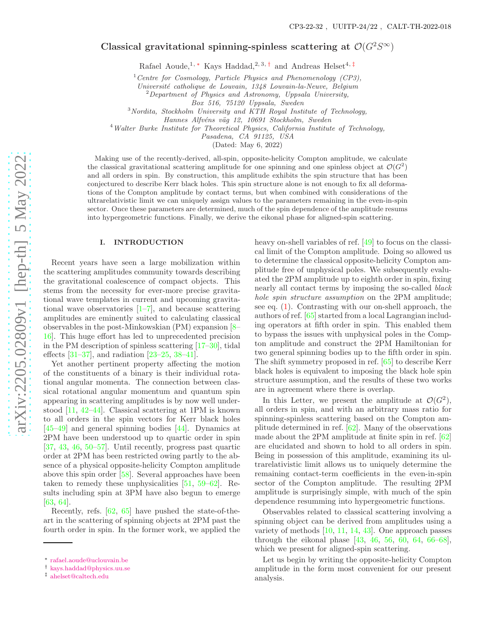# Classical gravitational spinning-spinless scattering at  $\mathcal{O}(G^2S^\infty)$

Rafael Aoude,<sup>1,\*</sup> Kays Haddad,<sup>2,3,[†](#page-0-1)</sup> and Andreas Helset<sup>4,[‡](#page-0-2)</sup>

<sup>1</sup> Centre for Cosmology, Particle Physics and Phenomenology (CP3), Université catholique de Louvain, 1348 Louvain-la-Neuve, Belgium

 $^{2}$ Department of Physics and Astronomy, Uppsala University,

Box 516, 75120 Uppsala, Sweden

 $3$ Nordita, Stockholm University and KTH Royal Institute of Technology,

<sup>4</sup>Walter Burke Institute for Theoretical Physics, California Institute of Technology,

Pasadena, CA 91125, USA

(Dated: May 6, 2022)

Making use of the recently-derived, all-spin, opposite-helicity Compton amplitude, we calculate the classical gravitational scattering amplitude for one spinning and one spinless object at  $\mathcal{O}(G^2)$ and all orders in spin. By construction, this amplitude exhibits the spin structure that has been conjectured to describe Kerr black holes. This spin structure alone is not enough to fix all deformations of the Compton amplitude by contact terms, but when combined with considerations of the ultrarelativistic limit we can uniquely assign values to the parameters remaining in the even-in-spin sector. Once these parameters are determined, much of the spin dependence of the amplitude resums into hypergeometric functions. Finally, we derive the eikonal phase for aligned-spin scattering.

## I. INTRODUCTION

Recent years have seen a large mobilization within the scattering amplitudes community towards describing the gravitational coalescence of compact objects. This stems from the necessity for ever-more precise gravitational wave templates in current and upcoming gravitational wave observatories  $\left[1-\overline{7}\right]$ , and because scattering amplitudes are eminently suited to calculating classical observables in the post-Minkowskian (PM) expansion [ [8](#page-5-1) – [16\]](#page-5-2). This huge effort has led to unprecedented precision in the PM description of spinless scattering [\[17](#page-5-3) [–30\]](#page-5-4), tidal effects [\[31](#page-5-5) [–37\]](#page-5-6), and radiation [\[23](#page-5-7) [–25](#page-5-8) , [38](#page-5-9) [–41\]](#page-5-10).

Yet another pertinent property affecting the motion of the constituents of a binary is their individual rotational angular momenta. The connection between classical rotational angular momentum and quantum spin appearing in scattering amplitudes is by now well understood [\[11](#page-5-11), [42](#page-5-12)[–44\]](#page-5-13). Classical scattering at 1PM is known to all orders in the spin vectors for Kerr black holes [\[45](#page-5-14)[–49\]](#page-5-15) and general spinning bodies [\[44](#page-5-13)]. Dynamics at 2PM have been understood up to quartic order in spin [\[37,](#page-5-6) [43](#page-5-16), [46](#page-5-17), [50](#page-5-18)[–57\]](#page-5-19). Until recently, progress past quartic order at 2PM has been restricted owing partly to the absence of a physical opposite-helicity Compton amplitude above this spin order [\[58\]](#page-5-20). Several approaches have been taken to remedy these unphysicalities [\[51](#page-5-21) , [59](#page-5-22) [–62\]](#page-6-0). Results including spin at 3PM have also begun to emerge [\[63,](#page-6-1) [64\]](#page-6-2).

Recently, refs. [\[62](#page-6-0) , [65](#page-6-3)] have pushed the state-of-theart in the scattering of spinning objects at 2PM past the fourth order in spin. In the former work, we applied the heavy on-shell variables of ref. [\[49](#page-5-15)] to focus on the classical limit of the Compton amplitude. Doing so allowed us to determine the classical opposite-helicity Compton amplitude free of unphysical poles. We subsequently evaluated the 2PM amplitude up to eighth order in spin, fixing nearly all contact terms by imposing the so-called black hole spin structure assumption on the 2PM amplitude; see eq. ( [1\)](#page-1-0). Contrasting with our on-shell approach, the authors of ref. [\[65](#page-6-3)] started from a local Lagrangian including operators at fifth order in spin. This enabled them to bypass the issues with unphysical poles in the Compton amplitude and construct the 2PM Hamiltonian for two general spinning bodies up to the fifth order in spin. The shift symmetry proposed in ref. [\[65](#page-6-3)] to describe Kerr black holes is equivalent to imposing the black hole spin structure assumption, and the results of these two works are in agreement where there is overlap.

In this Letter, we present the amplitude at  $\mathcal{O}(G^2)$ , all orders in spin, and with an arbitrary mass ratio for spinning-spinless scattering based on the Compton amplitude determined in ref. [\[62](#page-6-0)]. Many of the observations made about the 2PM amplitude at finite spin in ref. [\[62](#page-6-0) ] are elucidated and shown to hold to all orders in spin. Being in possession of this amplitude, examining its ultrarelativistic limit allows us to uniquely determine the remaining contact-term coefficients in the even-in-spin sector of the Compton amplitude. The resulting 2PM amplitude is surprisingly simple, with much of the spin dependence resumming into hypergeometric functions.

Observables related to classical scattering involving a spinning object can be derived from amplitudes using a variety of methods  $[10, 11, 14, 43]$  $[10, 11, 14, 43]$  $[10, 11, 14, 43]$  $[10, 11, 14, 43]$  $[10, 11, 14, 43]$  $[10, 11, 14, 43]$ . One approach passes through the eikonal phase  $[43, 46, 56, 60, 64, 66-68]$  $[43, 46, 56, 60, 64, 66-68]$  $[43, 46, 56, 60, 64, 66-68]$  $[43, 46, 56, 60, 64, 66-68]$  $[43, 46, 56, 60, 64, 66-68]$  $[43, 46, 56, 60, 64, 66-68]$  $[43, 46, 56, 60, 64, 66-68]$  $[43, 46, 56, 60, 64, 66-68]$  $[43, 46, 56, 60, 64, 66-68]$  $[43, 46, 56, 60, 64, 66-68]$  $[43, 46, 56, 60, 64, 66-68]$ , which we present for aligned-spin scattering.

Let us begin by writing the opposite-helicity Compton amplitude in the form most convenient for our present analysis.

Hannes Alfvéns väg 12, 10691 Stockholm, Sweden

<span id="page-0-0"></span><sup>∗</sup> [rafael.aoude@uclouvain.be](mailto:rafael.aoude@uclouvain.be)

<span id="page-0-1"></span><sup>†</sup> [kays.haddad@physics.uu.se](mailto:kays.haddad@physics.uu.se)

<span id="page-0-2"></span><sup>‡</sup> [ahelset@caltech.edu](mailto:ahelset@caltech.edu)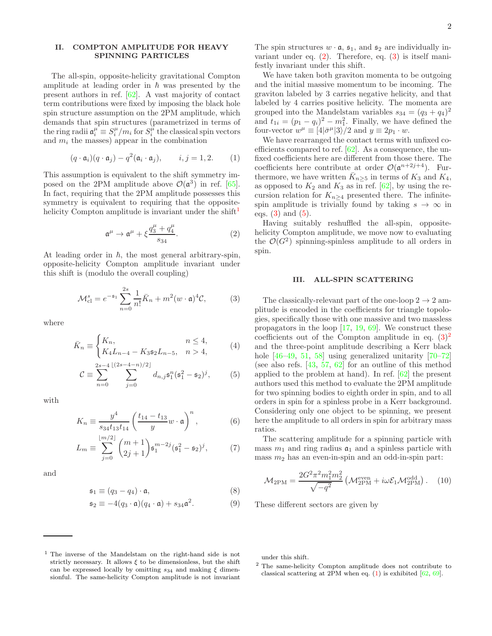# II. COMPTON AMPLITUDE FOR HEAVY SPINNING PARTICLES

The all-spin, opposite-helicity gravitational Compton amplitude at leading order in  $\hbar$  was presented by the present authors in ref. [\[62](#page-6-0)]. A vast majority of contact term contributions were fixed by imposing the black hole spin structure assumption on the 2PM amplitude, which demands that spin structures (parametrized in terms of the ring radii  $\mathfrak{a}_i^{\mu} \equiv S_i^{\mu}/m_i$  for  $S_i^{\overline{\mu}}$  the classical spin vectors and  $m_i$  the masses) appear in the combination

$$
(q \cdot \mathfrak{a}_i)(q \cdot \mathfrak{a}_j) - q^2(\mathfrak{a}_i \cdot \mathfrak{a}_j), \qquad i, j = 1, 2. \tag{1}
$$

This assumption is equivalent to the shift symmetry imposed on the 2PM amplitude above  $\mathcal{O}(\mathfrak{a}^3)$  in ref. [\[65\]](#page-6-3). In fact, requiring that the 2PM amplitude possesses this symmetry is equivalent to requiring that the opposite-helicity Compton amplitude is invariant under the shift<sup>[1](#page-1-1)</sup>

$$
\mathfrak{a}^{\mu} \to \mathfrak{a}^{\mu} + \xi \frac{q_3^{\mu} + q_4^{\mu}}{s_{34}}.
$$
 (2)

At leading order in  $h$ , the most general arbitrary-spin, opposite-helicity Compton amplitude invariant under this shift is (modulo the overall coupling)

$$
\mathcal{M}_{\text{cl}}^s = e^{-\mathfrak{s}_1} \sum_{n=0}^{2s} \frac{1}{n!} \bar{K}_n + m^2 (w \cdot \mathfrak{a})^4 \mathcal{C},\tag{3}
$$

where

$$
\bar{K}_n \equiv \begin{cases} K_n, & n \le 4, \\ K_4 L_{n-4} - K_3 \mathfrak{s}_2 L_{n-5}, & n > 4, \end{cases}
$$
 (4)

$$
C \equiv \sum_{n=0}^{2s-4} \sum_{j=0}^{\lfloor (2s-4-n)/2 \rfloor} d_{n,j} \mathfrak{s}_1^n (\mathfrak{s}_1^2 - \mathfrak{s}_2)^j, \qquad (5)
$$

with

$$
K_n \equiv \frac{y^4}{s_{34}t_{13}t_{14}} \left(\frac{t_{14} - t_{13}}{y}w \cdot \mathfrak{a}\right)^n, \tag{6}
$$

$$
L_m \equiv \sum_{j=0}^{\lfloor m/2 \rfloor} \binom{m+1}{2j+1} \mathfrak{s}_1^{m-2j} (\mathfrak{s}_1^2 - \mathfrak{s}_2)^j, \tag{7}
$$

and

$$
\mathfrak{s}_1 \equiv (q_3 - q_4) \cdot \mathfrak{a},\tag{8}
$$

$$
\mathfrak{s}_2 \equiv -4(q_3 \cdot \mathfrak{a})(q_4 \cdot \mathfrak{a}) + s_{34}\mathfrak{a}^2. \tag{9}
$$

The spin structures  $w \cdot \mathfrak{a}$ ,  $\mathfrak{s}_1$ , and  $\mathfrak{s}_2$  are individually invariant under eq. [\(2\)](#page-1-2). Therefore, eq. [\(3\)](#page-1-3) is itself manifestly invariant under this shift.

We have taken both graviton momenta to be outgoing and the initial massive momentum to be incoming. The graviton labeled by 3 carries negative helicity, and that labeled by 4 carries positive helicity. The momenta are grouped into the Mandelstam variables  $s_{34} = (q_3 + q_4)^2$ and  $t_{1i} = (p_1 - q_i)^2 - m_1^2$ . Finally, we have defined the four-vector  $w^{\mu} \equiv [4|\bar{\sigma}^{\mu}|3\rangle/2$  and  $y \equiv 2p_1 \cdot w$ .

<span id="page-1-0"></span>We have rearranged the contact terms with unfixed coefficients compared to ref. [\[62](#page-6-0)]. As a consequence, the unfixed coefficients here are different from those there. The coefficients here contribute at order  $\mathcal{O}(\mathfrak{a}^{n+2j+4})$ . Furthermore, we have written  $\bar{K}_{n\geq 5}$  in terms of  $K_3$  and  $K_4$ , as opposed to  $K_2$  and  $K_3$  as in ref. [\[62\]](#page-6-0), by using the recursion relation for  $K_{n>4}$  presented there. The infinitespin amplitude is trivially found by taking  $s \to \infty$  in eqs.  $(3)$  and  $(5)$ .

<span id="page-1-2"></span>Having suitably reshuffled the all-spin, oppositehelicity Compton amplitude, we move now to evaluating the  $\mathcal{O}(G^2)$  spinning-spinless amplitude to all orders in spin.

#### III. ALL-SPIN SCATTERING

<span id="page-1-3"></span>The classically-relevant part of the one-loop  $2 \rightarrow 2$  amplitude is encoded in the coefficients for triangle topologies, specifically those with one massive and two massless propagators in the loop [\[17,](#page-5-3) [19](#page-5-26), [69](#page-6-7)]. We construct these coefficients out of the Compton amplitude in eq.  $(3)^2$  $(3)^2$ and the three-point amplitude describing a Kerr black hole [\[46](#page-5-17)[–49,](#page-5-15) [51](#page-5-21), [58\]](#page-5-20) using generalized unitarity [\[70](#page-6-8)[–72\]](#page-6-9) (see also refs.  $[43, 57, 62]$  $[43, 57, 62]$  $[43, 57, 62]$  $[43, 57, 62]$  $[43, 57, 62]$  for an outline of this method applied to the problem at hand). In ref. [\[62\]](#page-6-0) the present authors used this method to evaluate the 2PM amplitude for two spinning bodies to eighth order in spin, and to all orders in spin for a spinless probe in a Kerr background. Considering only one object to be spinning, we present here the amplitude to all orders in spin for arbitrary mass ratios.

<span id="page-1-4"></span>The scattering amplitude for a spinning particle with mass  $m_1$  and ring radius  $a_1$  and a spinless particle with mass  $m_2$  has an even-in-spin and an odd-in-spin part:

<span id="page-1-6"></span>
$$
\mathcal{M}_{2\text{PM}} = \frac{2G^2 \pi^2 m_1^2 m_2^2}{\sqrt{-q^2}} \left( \mathcal{M}_{2\text{PM}}^{\text{even}} + i\omega \mathcal{E}_1 \mathcal{M}_{2\text{PM}}^{\text{odd}} \right). \tag{10}
$$

These different sectors are given by

under this shift.

<span id="page-1-5"></span><sup>2</sup> The same-helicity Compton amplitude does not contribute to classical scattering at 2PM when eq.  $(1)$  is exhibited  $[62, 69]$  $[62, 69]$  $[62, 69]$ .

<span id="page-1-1"></span><sup>1</sup> The inverse of the Mandelstam on the right-hand side is not strictly necessary. It allows  $\xi$  to be dimensionless, but the shift can be expressed locally by omitting  $s_{34}$  and making  $\xi$  dimensionful. The same-helicity Compton amplitude is not invariant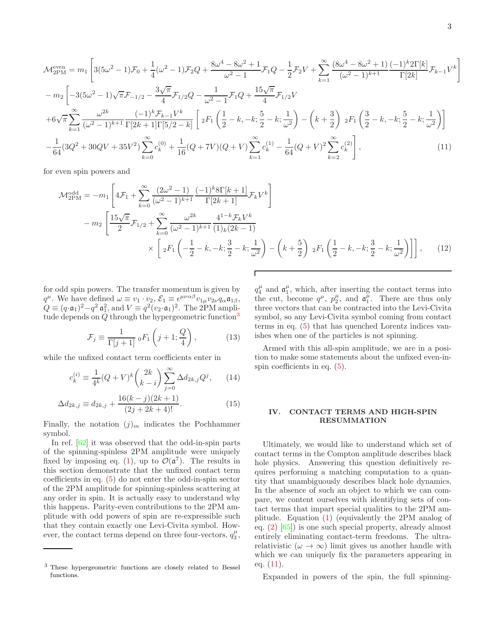$$
\mathcal{M}_{2PM}^{\text{even}} = m_1 \left[ 3(5\omega^2 - 1)\mathcal{F}_0 + \frac{1}{4}(\omega^2 - 1)\mathcal{F}_2Q + \frac{8\omega^4 - 8\omega^2 + 1}{\omega^2 - 1}\mathcal{F}_1Q - \frac{1}{2}\mathcal{F}_2V + \sum_{k=1}^{\infty} \frac{(8\omega^4 - 8\omega^2 + 1)(-1)^k 2\Gamma[k]}{(\omega^2 - 1)^{k+1}} \mathcal{F}_{k-1}V^k \right]
$$
  
\n
$$
- m_2 \left[ -3(5\omega^2 - 1)\sqrt{\pi}\mathcal{F}_{-1/2} - \frac{3\sqrt{\pi}}{4}\mathcal{F}_{1/2}Q - \frac{1}{\omega^2 - 1}\mathcal{F}_1Q + \frac{15\sqrt{\pi}}{4}\mathcal{F}_{1/2}V + 6\sqrt{\pi}\sum_{k=1}^{\infty} \frac{\omega^{2k}}{(\omega^2 - 1)^{k+1}} \frac{(-1)^k \mathcal{F}_{k-1}V^k}{\Gamma[2k+1]\Gamma[5/2-k]} \left[ 2F_1\left(\frac{1}{2} - k, -k; \frac{5}{2} - k; \frac{1}{\omega^2}\right) - \left(k + \frac{3}{2}\right) 2F_1\left(\frac{3}{2} - k, -k; \frac{5}{2} - k; \frac{1}{\omega^2}\right) \right]
$$
  
\n
$$
- \frac{1}{64}(3Q^2 + 30QV + 35V^2)\sum_{k=0}^{\infty} c_k^{(0)} + \frac{1}{16}(Q + 7V)(Q + V)\sum_{k=1}^{\infty} c_k^{(1)} - \frac{1}{64}(Q + V)^2\sum_{k=2}^{\infty} c_k^{(2)} \right],
$$
(11)

for even spin powers and

$$
\mathcal{M}_{2PM}^{\text{odd}} = -m_1 \left[ 4\mathcal{F}_1 + \sum_{k=0}^{\infty} \frac{(2\omega^2 - 1)}{(\omega^2 - 1)^{k+1}} \frac{(-1)^k 8\Gamma[k+1]}{\Gamma[2k+1]} \mathcal{F}_k V^k \right] \n- m_2 \left[ \frac{15\sqrt{\pi}}{2} \mathcal{F}_{1/2} + \sum_{k=0}^{\infty} \frac{\omega^{2k}}{(\omega^2 - 1)^{k+1}} \frac{4^{1-k} \mathcal{F}_k V^k}{(1)_k (2k-1)} \right] \times \left[ 2F_1 \left( -\frac{1}{2} - k, -k; \frac{3}{2} - k; \frac{1}{\omega^2} \right) - \left( k + \frac{5}{2} \right) 2F_1 \left( \frac{1}{2} - k, -k; \frac{3}{2} - k; \frac{1}{\omega^2} \right) \right], \quad (12)
$$

for odd spin powers. The transfer momentum is given by  $q^{\mu}$ . We have defined  $\omega \equiv v_1 \cdot v_2$ ,  $\mathcal{E}_1 \equiv \epsilon^{\mu \nu \alpha \beta} v_{1\mu} v_{2\nu} q_{\alpha} \mathfrak{a}_{1\beta}$ ,  $Q \equiv (q \cdot \mathfrak{a}_1)^2 - q^2 \mathfrak{a}_1^2$ , and  $V \equiv q^2 (v_2 \cdot \mathfrak{a}_1)^2$ . The 2PM amplitude depends on  $Q$  through the hypergeometric function<sup>[3](#page-2-0)</sup>

$$
\mathcal{F}_j \equiv \frac{1}{\Gamma[j+1]} \, {}_0F_1\left(j+1; \frac{Q}{4}\right),\tag{13}
$$

while the unfixed contact term coefficients enter in

$$
c_k^{(i)} \equiv \frac{1}{4^k} (Q+V)^k \binom{2k}{k-i} \sum_{j=0}^{\infty} \Delta d_{2k,j} Q^j, \qquad (14)
$$

$$
\Delta d_{2k,j} \equiv d_{2k,j} + \frac{16(k-j)(2k+1)}{(2j+2k+4)!}.
$$
\n(15)

Finally, the notation  $(j)<sub>m</sub>$  indicates the Pochhammer symbol.

In ref. [\[62](#page-6-0)] it was observed that the odd-in-spin parts of the spinning-spinless 2PM amplitude were uniquely fixed by imposing eq. [\(1\)](#page-1-0), up to  $\mathcal{O}(\mathfrak{a}^7)$ . The results in this section demonstrate that the unfixed contact term coefficients in eq. [\(5\)](#page-1-4) do not enter the odd-in-spin sector of the 2PM amplitude for spinning-spinless scattering at any order in spin. It is actually easy to understand why this happens. Parity-even contributions to the 2PM amplitude with odd powers of spin are re-expressible such that they contain exactly one Levi-Civita symbol. However, the contact terms depend on three four-vectors,  $q_3^{\mu}$ ,

<span id="page-2-3"></span><span id="page-2-1"></span> $q_4^{\mu}$  and  $\mathfrak{a}_1^{\mu}$ , which, after inserting the contact terms into the cut, become  $q^{\mu}$ ,  $p_2^{\mu}$ , and  $\mathfrak{a}_1^{\mu}$ . There are thus only three vectors that can be contracted into the Levi-Civita symbol, so any Levi-Civita symbol coming from contact terms in eq. [\(5\)](#page-1-4) that has quenched Lorentz indices vanishes when one of the particles is not spinning.

<span id="page-2-2"></span>Armed with this all-spin amplitude, we are in a position to make some statements about the unfixed even-inspin coefficients in eq. [\(5\)](#page-1-4).

# IV. CONTACT TERMS AND HIGH-SPIN RESUMMATION

Ultimately, we would like to understand which set of contact terms in the Compton amplitude describes black hole physics. Answering this question definitively requires performing a matching computation to a quantity that unambiguously describes black hole dynamics. In the absence of such an object to which we can compare, we content ourselves with identifying sets of contact terms that impart special qualities to the 2PM amplitude. Equation [\(1\)](#page-1-0) (equivalently the 2PM analog of eq. [\(2\)](#page-1-2) [\[65\]](#page-6-3)) is one such special property, already almost entirely eliminating contact-term freedoms. The ultrarelativistic ( $\omega \to \infty$ ) limit gives us another handle with which we can uniquely fix the parameters appearing in eq.  $(11)$ .

Expanded in powers of the spin, the full spinning-

<span id="page-2-0"></span><sup>3</sup> These hypergeometric functions are closely related to Bessel functions.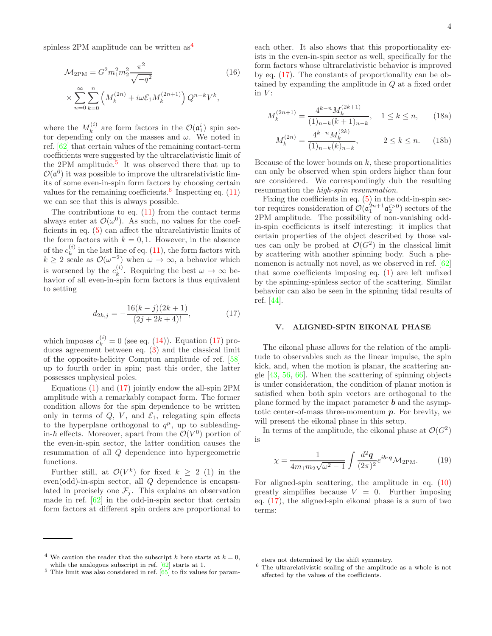spinless 2PM amplitude can be written as[4](#page-3-0)

$$
\mathcal{M}_{2\text{PM}} = G^2 m_1^2 m_2^2 \frac{\pi^2}{\sqrt{-q^2}} \tag{16}
$$
\n
$$
\times \sum_{n=0}^{\infty} \sum_{k=0}^{n} \left( M_k^{(2n)} + i\omega \mathcal{E}_1 M_k^{(2n+1)} \right) Q^{n-k} V^k,
$$

where the  $M_k^{(i)}$  $\mathcal{O}(\mathfrak{a}_1^i)$  are form factors in the  $\mathcal{O}(\mathfrak{a}_1^i)$  spin sector depending only on the masses and  $\omega$ . We noted in ref. [\[62\]](#page-6-0) that certain values of the remaining contact-term coefficients were suggested by the ultrarelativistic limit of the 2PM amplitude.<sup>[5](#page-3-1)</sup> It was observed there that up to  $\mathcal{O}(\mathfrak{a}^6)$  it was possible to improve the ultrarelativistic limits of some even-in-spin form factors by choosing certain values for the remaining coefficients.<sup>[6](#page-3-2)</sup> Inspecting eq.  $(11)$ we can see that this is always possible.

The contributions to eq.  $(11)$  from the contact terms always enter at  $\mathcal{O}(\omega^0)$ . As such, no values for the coefficients in eq. [\(5\)](#page-1-4) can affect the ultrarelativistic limits of the form factors with  $k = 0, 1$ . However, in the absence of the  $c_k^{(i)}$  $\kappa^{(i)}$  in the last line of eq. [\(11\)](#page-2-1), the form factors with  $k \geq 2$  scale as  $\mathcal{O}(\omega^{-2})$  when  $\omega \to \infty$ , a behavior which is worsened by the  $c_k^{(i)}$ <sup>(*i*</sup>). Requiring the best  $\omega \to \infty$  behavior of all even-in-spin form factors is thus equivalent to setting

$$
d_{2k,j} = -\frac{16(k-j)(2k+1)}{(2j+2k+4)!},
$$
\n(17)

which imposes  $c_k^{(i)} = 0$  (see eq. [\(14\)](#page-2-2)). Equation [\(17\)](#page-3-3) produces agreement between eq. [\(3\)](#page-1-3) and the classical limit of the opposite-helicity Compton amplitude of ref. [\[58](#page-5-20)] up to fourth order in spin; past this order, the latter possesses unphysical poles.

Equations  $(1)$  and  $(17)$  jointly endow the all-spin 2PM amplitude with a remarkably compact form. The former condition allows for the spin dependence to be written only in terms of  $Q, V,$  and  $\mathcal{E}_1$ , relegating spin effects to the hyperplane orthogonal to  $q^{\mu}$ , up to subleadingin- $\hbar$  effects. Moreover, apart from the  $\mathcal{O}(V^0)$  portion of the even-in-spin sector, the latter condition causes the resummation of all Q dependence into hypergeometric functions.

Further still, at  $\mathcal{O}(V^k)$  for fixed  $k \geq 2$  (1) in the even(odd)-in-spin sector, all Q dependence is encapsulated in precisely one  $\mathcal{F}_j$ . This explains an observation made in ref. [\[62\]](#page-6-0) in the odd-in-spin sector that certain form factors at different spin orders are proportional to each other. It also shows that this proportionality exists in the even-in-spin sector as well, specifically for the form factors whose ultrarelativistic behavior is improved by eq. [\(17\)](#page-3-3). The constants of proportionality can be obtained by expanding the amplitude in Q at a fixed order in  $V$ :

<span id="page-3-4"></span>
$$
M_k^{(2n+1)} = \frac{4^{k-n} M_k^{(2k+1)}}{(1)_{n-k}(k+1)_{n-k}}, \quad 1 \le k \le n,
$$
 (18a)

$$
M_k^{(2n)} = \frac{4^{k-n} M_k^{(2k)}}{(1)_{n-k}(k)_{n-k}}, \qquad 2 \le k \le n. \tag{18b}
$$

Because of the lower bounds on  $k$ , these proportionalities can only be observed when spin orders higher than four are considered. We correspondingly dub the resulting resummation the high-spin resummation.

Fixing the coefficients in eq.  $(5)$  in the odd-in-spin sector requires consideration of  $\mathcal{O}(\mathfrak{a}_1^{2n+1}\mathfrak{a}_2^{i>0})$  sectors of the 2PM amplitude. The possibility of non-vanishing oddin-spin coefficients is itself interesting: it implies that certain properties of the object described by those values can only be probed at  $\mathcal{O}(G^2)$  in the classical limit by scattering with another spinning body. Such a phenomenon is actually not novel, as we observed in ref. [\[62](#page-6-0)] that some coefficients imposing eq.  $(1)$  are left unfixed by the spinning-spinless sector of the scattering. Similar behavior can also be seen in the spinning tidal results of ref. [\[44](#page-5-13)].

### V. ALIGNED-SPIN EIKONAL PHASE

<span id="page-3-3"></span>The eikonal phase allows for the relation of the amplitude to observables such as the linear impulse, the spin kick, and, when the motion is planar, the scattering angle [\[43](#page-5-16), [56,](#page-5-25) [66\]](#page-6-5). When the scattering of spinning objects is under consideration, the condition of planar motion is satisfied when both spin vectors are orthogonal to the plane formed by the impact parameter  $\boldsymbol{b}$  and the asymptotic center-of-mass three-momentum  $p$ . For brevity, we will present the eikonal phase in this setup.

In terms of the amplitude, the eikonal phase at  $\mathcal{O}(G^2)$ is

$$
\chi = \frac{1}{4m_1m_2\sqrt{\omega^2 - 1}} \int \frac{d^2\mathbf{q}}{(2\pi)^2} e^{i\mathbf{b}\cdot\mathbf{q}} \mathcal{M}_{2\text{PM}}.\tag{19}
$$

For aligned-spin scattering, the amplitude in eq. [\(10\)](#page-1-6) greatly simplifies because  $V = 0$ . Further imposing eq. [\(17\)](#page-3-3), the aligned-spin eikonal phase is a sum of two terms:

<sup>&</sup>lt;sup>4</sup> We caution the reader that the subscript k here starts at  $k = 0$ , while the analogous subscript in ref.  $[62]$  starts at 1.

<span id="page-3-1"></span><span id="page-3-0"></span> $5$  This limit was also considered in ref.  $\left[65\right]$  to fix values for param-

eters not determined by the shift symmetry.

<span id="page-3-2"></span> $^6$  The ultrarelativistic scaling of the amplitude as a whole is not affected by the values of the coefficients.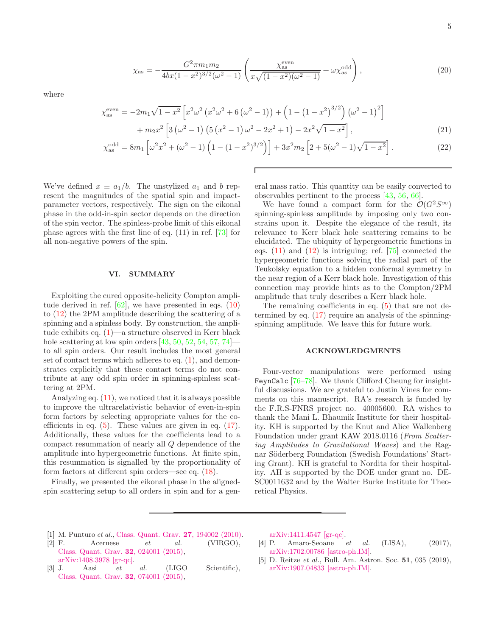where

$$
\chi_{\rm as}^{\rm even} = -2m_1\sqrt{1-x^2} \left[ x^2\omega^2 \left( x^2\omega^2 + 6\left(\omega^2 - 1\right) \right) + \left( 1 - \left( 1 - x^2 \right)^{3/2} \right) \left( \omega^2 - 1 \right)^2 \right] + m_2 x^2 \left[ 3\left( \omega^2 - 1 \right) \left( 5\left( x^2 - 1 \right) \omega^2 - 2x^2 + 1 \right) - 2x^2 \sqrt{1 - x^2} \right],
$$
(21)

$$
\chi_{\rm as}^{\rm odd} = 8m_1 \left[ \omega^2 x^2 + (\omega^2 - 1) \left( 1 - (1 - x^2)^{3/2} \right) \right] + 3x^2 m_2 \left[ 2 + 5(\omega^2 - 1)\sqrt{1 - x^2} \right]. \tag{22}
$$

We've defined  $x \equiv a_1/b$ . The unstylized  $a_1$  and b represent the magnitudes of the spatial spin and impactparameter vectors, respectively. The sign on the eikonal phase in the odd-in-spin sector depends on the direction of the spin vector. The spinless-probe limit of this eikonal phase agrees with the first line of eq. (11) in ref. [\[73](#page-6-10)] for all non-negative powers of the spin.

#### VI. SUMMARY

Exploiting the cured opposite-helicity Compton amplitude derived in ref.  $[62]$ , we have presented in eqs.  $(10)$ to [\(12\)](#page-2-3) the 2PM amplitude describing the scattering of a spinning and a spinless body. By construction, the amplitude exhibits eq. [\(1\)](#page-1-0)—a structure observed in Kerr black hole scattering at low spin orders  $[43, 50, 52, 54, 57, 74]$  $[43, 50, 52, 54, 57, 74]$  $[43, 50, 52, 54, 57, 74]$  $[43, 50, 52, 54, 57, 74]$  $[43, 50, 52, 54, 57, 74]$  $[43, 50, 52, 54, 57, 74]$  $[43, 50, 52, 54, 57, 74]$  $[43, 50, 52, 54, 57, 74]$  $[43, 50, 52, 54, 57, 74]$  $[43, 50, 52, 54, 57, 74]$  $[43, 50, 52, 54, 57, 74]$  to all spin orders. Our result includes the most general set of contact terms which adheres to eq.  $(1)$ , and demonstrates explicitly that these contact terms do not contribute at any odd spin order in spinning-spinless scattering at 2PM.

Analyzing eq. [\(11\)](#page-2-1), we noticed that it is always possible to improve the ultrarelativistic behavior of even-in-spin form factors by selecting appropriate values for the coefficients in eq.  $(5)$ . These values are given in eq.  $(17)$ . Additionally, these values for the coefficients lead to a compact resummation of nearly all Q dependence of the amplitude into hypergeometric functions. At finite spin, this resummation is signalled by the proportionality of form factors at different spin orders—see eq. [\(18\)](#page-3-4).

Finally, we presented the eikonal phase in the alignedspin scattering setup to all orders in spin and for a gen-

eral mass ratio. This quantity can be easily converted to observables pertinent to the process [\[43,](#page-5-16) [56,](#page-5-25) [66\]](#page-6-5).

We have found a compact form for the  $\mathcal{O}(G^2S^{\infty})$ spinning-spinless amplitude by imposing only two constrains upon it. Despite the elegance of the result, its relevance to Kerr black hole scattering remains to be elucidated. The ubiquity of hypergeometric functions in eqs. [\(11\)](#page-2-1) and [\(12\)](#page-2-3) is intriguing; ref. [\[75\]](#page-6-12) connected the hypergeometric functions solving the radial part of the Teukolsky equation to a hidden conformal symmetry in the near region of a Kerr black hole. Investigation of this connection may provide hints as to the Compton/2PM amplitude that truly describes a Kerr black hole.

The remaining coefficients in eq. [\(5\)](#page-1-4) that are not determined by eq. [\(17\)](#page-3-3) require an analysis of the spinningspinning amplitude. We leave this for future work.

#### ACKNOWLEDGMENTS

Four-vector manipulations were performed using FeynCalc [\[76](#page-6-13)[–78](#page-6-14)]. We thank Clifford Cheung for insightful discussions. We are grateful to Justin Vines for comments on this manuscript. RA's research is funded by the F.R.S-FNRS project no. 40005600. RA wishes to thank the Mani L. Bhaumik Institute for their hospitality. KH is supported by the Knut and Alice Wallenberg Foundation under grant KAW 2018.0116 (From Scattering Amplitudes to Gravitational Waves) and the Ragnar Söderberg Foundation (Swedish Foundations' Starting Grant). KH is grateful to Nordita for their hospitality. AH is supported by the DOE under grant no. DE-SC0011632 and by the Walter Burke Institute for Theoretical Physics.

- <span id="page-4-0"></span>[1] M. Punturo et al., [Class. Quant. Grav.](https://doi.org/10.1088/0264-9381/27/19/194002) 27, 194002 (2010).
- [2] F. Acernese  $et$  al. (VIRGO), [Class. Quant. Grav.](https://doi.org/10.1088/0264-9381/32/2/024001) 32, 024001 (2015), [arXiv:1408.3978 \[gr-qc\].](http://arxiv.org/abs/1408.3978)

[3] J. Aasi et al. (LIGO Scientific), [Class. Quant. Grav.](https://doi.org/10.1088/0264-9381/32/7/074001) 32, 074001 (2015),

[arXiv:1411.4547 \[gr-qc\].](http://arxiv.org/abs/1411.4547)

- [4] P. Amaro-Seoane et al. (LISA), (2017), [arXiv:1702.00786 \[astro-ph.IM\].](http://arxiv.org/abs/1702.00786)
- [5] D. Reitze et al., Bull. Am. Astron. Soc. 51, 035 (2019), [arXiv:1907.04833 \[astro-ph.IM\].](http://arxiv.org/abs/1907.04833)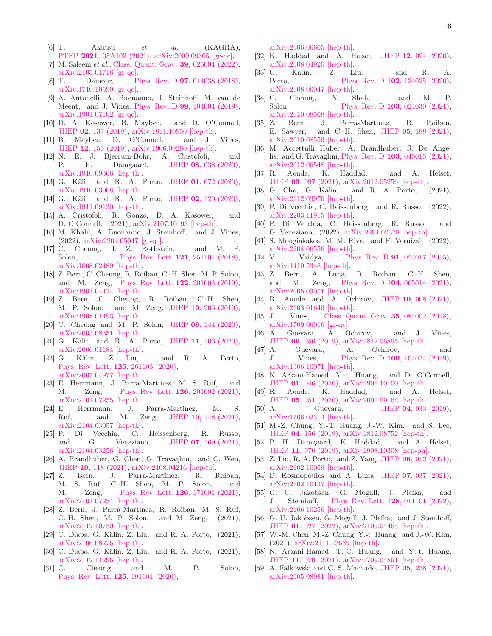- $[6]$  T. Akutsu et al. (KAGRA), PTEP 2021[, 05A102 \(2021\),](https://doi.org/10.1093/ptep/ptab018) [arXiv:2009.09305 \[gr-qc\].](http://arxiv.org/abs/2009.09305)
- <span id="page-5-0"></span>[7] M. Saleem *et al.*, [Class. Quant. Grav.](https://doi.org/10.1088/1361-6382/ac3b99) **39**, 025004 (2022), [arXiv:2105.01716 \[gr-qc\].](http://arxiv.org/abs/2105.01716)
- <span id="page-5-1"></span>[8] T. Damour, Phys. Rev. D **97**[, 044038 \(2018\),](https://doi.org/10.1103/PhysRevD.97.044038) [arXiv:1710.10599 \[gr-qc\].](http://arxiv.org/abs/1710.10599)
- [9] A. Antonelli, A. Buonanno, J. Steinhoff, M. van de Meent, and J. Vines, Phys. Rev. D 99[, 104004 \(2019\),](https://doi.org/ 10.1103/PhysRevD.99.104004) [arXiv:1901.07102 \[gr-qc\].](http://arxiv.org/abs/1901.07102)
- <span id="page-5-23"></span>[10] D. A. Kosower, B. Maybee, and D. O'Connell, JHEP 02[, 137 \(2019\),](https://doi.org/10.1007/JHEP02(2019)137) [arXiv:1811.10950 \[hep-th\].](http://arxiv.org/abs/1811.10950)
- <span id="page-5-11"></span>[11] B. Maybee, D. O'Connell, and J. Vines, JHEP 12[, 156 \(2019\),](https://doi.org/10.1007/JHEP12(2019)156) [arXiv:1906.09260 \[hep-th\].](http://arxiv.org/abs/1906.09260)
- [12] N. E. J. Bjerrum-Bohr, A. Cristofoli, and P. H. Damgaard, JHEP 08[, 038 \(2020\),](https://doi.org/10.1007/JHEP08(2020)038) [arXiv:1910.09366 \[hep-th\].](http://arxiv.org/abs/1910.09366)
- [13] G. Kälin and R. A. Porto, JHEP 01[, 072 \(2020\),](https://doi.org/10.1007/JHEP01(2020)072) [arXiv:1910.03008 \[hep-th\].](http://arxiv.org/abs/1910.03008)
- <span id="page-5-24"></span>[14] G. Kälin and R. A. Porto, JHEP 02[, 120 \(2020\),](https://doi.org/10.1007/JHEP02(2020)120) [arXiv:1911.09130 \[hep-th\].](http://arxiv.org/abs/1911.09130)
- [15] A. Cristofoli, R. Gonzo, D. A. Kosower, and D. O'Connell, (2021), [arXiv:2107.10193 \[hep-th\].](http://arxiv.org/abs/2107.10193)
- <span id="page-5-2"></span>[16] M. Khalil, A. Buonanno, J. Steinhoff, and J. Vines,  $(2022)$ , [arXiv:2204.05047 \[gr-qc\].](http://arxiv.org/abs/2204.05047)<br>[17] C. Cheung, I. Z. Rothst
- <span id="page-5-3"></span>I. Z. Rothstein, and M. P. Solon, [Phys. Rev. Lett.](https://doi.org/10.1103/PhysRevLett.121.251101) **121**, 251101 (2018), [arXiv:1808.02489 \[hep-th\].](http://arxiv.org/abs/1808.02489)
- [18] Z. Bern, C. Cheung, R. Roiban, C.-H. Shen, M. P. Solon, and M. Zeng, [Phys. Rev. Lett.](https://doi.org/ 10.1103/PhysRevLett.122.201603) 122, 201603 (2019), [arXiv:1901.04424 \[hep-th\].](http://arxiv.org/abs/1901.04424)
- <span id="page-5-26"></span>[19] Z. Bern, C. Cheung, R. Roiban, C.-H. Shen, M. P. Solon, and M. Zeng, JHEP 10[, 206 \(2019\),](https://doi.org/ 10.1007/JHEP10(2019)206) [arXiv:1908.01493 \[hep-th\].](http://arxiv.org/abs/1908.01493)
- [20] C. Cheung and M. P. Solon, JHEP 06[, 144 \(2020\),](https://doi.org/10.1007/JHEP06(2020)144) [arXiv:2003.08351 \[hep-th\].](http://arxiv.org/abs/2003.08351)
- [21] G. Kälin and R. A. Porto, JHEP 11[, 106 \(2020\),](https://doi.org/10.1007/JHEP11(2020)106) [arXiv:2006.01184 \[hep-th\].](http://arxiv.org/abs/2006.01184)
- $[22]$  G. Kälin, Z. Liu, and R. A. Porto, [Phys. Rev. Lett.](https://doi.org/10.1103/PhysRevLett.125.261103) 125, 261103 (2020), [arXiv:2007.04977 \[hep-th\].](http://arxiv.org/abs/2007.04977)
- <span id="page-5-7"></span>[23] E. Herrmann, J. Parra-Martinez, M. S. Ruf, and M. Zeng, [Phys. Rev. Lett.](https://doi.org/10.1103/PhysRevLett.126.201602) **126**, 201602 (2021), [arXiv:2101.07255 \[hep-th\].](http://arxiv.org/abs/2101.07255)
- [24] E. Herrmann, J. Parra-Martinez, M. S. Ruf, and M. Zeng, JHEP 10[, 148 \(2021\),](https://doi.org/10.1007/JHEP10(2021)148) [arXiv:2104.03957 \[hep-th\].](http://arxiv.org/abs/2104.03957)
- <span id="page-5-8"></span>[25] P. Di Vecchia, C. Heissenberg, R. Russo, and G. Veneziano, JHEP 07[, 169 \(2021\),](https://doi.org/10.1007/JHEP07(2021)169) [arXiv:2104.03256 \[hep-th\].](http://arxiv.org/abs/2104.03256)
- [26] A. Brandhuber, G. Chen, G. Travaglini, and C. Wen, JHEP 10[, 118 \(2021\),](https://doi.org/ 10.1007/JHEP10(2021)118) [arXiv:2108.04216 \[hep-th\].](http://arxiv.org/abs/2108.04216)
- [27] Z. Bern, J. Parra-Martinez, R. Roiban, M. S. Ruf, C.-H. Shen, M. P. Solon, and M. Zeng, [Phys. Rev. Lett.](https://doi.org/ 10.1103/PhysRevLett.126.171601) **126**, 171601 (2021), [arXiv:2101.07254 \[hep-th\].](http://arxiv.org/abs/2101.07254)
- [28] Z. Bern, J. Parra-Martinez, R. Roiban, M. S. Ruf, C.-H. Shen, M. P. Solon, and M. Zeng, (2021), [arXiv:2112.10750 \[hep-th\].](http://arxiv.org/abs/2112.10750)
- [29] C. Dlapa, G. Kälin, Z. Liu, and R. A. Porto, (2021), [arXiv:2106.08276 \[hep-th\].](http://arxiv.org/abs/2106.08276)
- <span id="page-5-4"></span>[30] C. Dlapa, G. Kälin, Z. Liu, and R. A. Porto, (2021), [arXiv:2112.11296 \[hep-th\].](http://arxiv.org/abs/2112.11296)
- <span id="page-5-5"></span>[31] C. Cheung and M. P. Solon, [Phys. Rev. Lett.](https://doi.org/10.1103/PhysRevLett.125.191601) 125, 191601 (2020),

[arXiv:2006.06665 \[hep-th\].](http://arxiv.org/abs/2006.06665)

- [32] K. Haddad and A. Helset, JHEP 12[, 024 \(2020\),](https://doi.org/10.1007/JHEP12(2020)024) [arXiv:2008.04920 \[hep-th\].](http://arxiv.org/abs/2008.04920)
- [33] G. Kälin, Z. Liu, and R. A. Porto, Phys. Rev. D **102**[, 124025 \(2020\),](https://doi.org/10.1103/PhysRevD.102.124025) [arXiv:2008.06047 \[hep-th\].](http://arxiv.org/abs/2008.06047)
- [34] C. Cheung, N. Shah, and M. P. Solon, Phys. Rev. D **103**[, 024030 \(2021\),](https://doi.org/10.1103/PhysRevD.103.024030) [arXiv:2010.08568 \[hep-th\].](http://arxiv.org/abs/2010.08568)
- [35] Z. Bern, J. Parra-Martinez, R. Roiban, E. Sawyer, and C.-H. Shen, JHEP 05[, 188 \(2021\),](https://doi.org/10.1007/JHEP05(2021)188) [arXiv:2010.08559 \[hep-th\].](http://arxiv.org/abs/2010.08559)
- [36] M. Accettulli Huber, A. Brandhuber, S. De Angelis, and G. Travaglini, Phys. Rev. D 103[, 045015 \(2021\),](https://doi.org/10.1103/PhysRevD.103.045015) [arXiv:2012.06548 \[hep-th\].](http://arxiv.org/abs/2012.06548)
- <span id="page-5-6"></span>[37] R. Aoude, K. Haddad, and A. Helset, JHEP 03[, 097 \(2021\),](https://doi.org/10.1007/JHEP03(2021)097) [arXiv:2012.05256 \[hep-th\].](http://arxiv.org/abs/2012.05256)
- <span id="page-5-9"></span>[38] G. Cho, G. Kälin, and R. A. Porto, (2021), [arXiv:2112.03976 \[hep-th\].](http://arxiv.org/abs/2112.03976)
- [39] P. Di Vecchia, C. Heissenberg, and R. Russo, (2022), [arXiv:2203.11915 \[hep-th\].](http://arxiv.org/abs/2203.11915)
- [40] P. Di Vecchia, C. Heissenberg, R. Russo, and G. Veneziano, (2022), [arXiv:2204.02378 \[hep-th\].](http://arxiv.org/abs/2204.02378)
- <span id="page-5-10"></span>[41] S. Mougiakakos, M. M. Riva, and F. Vernizzi, (2022), [arXiv:2204.06556 \[hep-th\].](http://arxiv.org/abs/2204.06556)
- <span id="page-5-12"></span>[42] V. Vaidya, Phys. Rev. D **91**[, 024017 \(2015\),](https://doi.org/10.1103/PhysRevD.91.024017) [arXiv:1410.5348 \[hep-th\].](http://arxiv.org/abs/1410.5348)<br>[43] Z. Bern, A. Luna,
- <span id="page-5-16"></span>A. Luna, R. Roiban, C.-H. Shen, and M. Zeng, Phys. Rev. D 104[, 065014 \(2021\),](https://doi.org/ 10.1103/PhysRevD.104.065014) [arXiv:2005.03071 \[hep-th\].](http://arxiv.org/abs/2005.03071)
- <span id="page-5-13"></span>[44] R. Aoude and A. Ochirov, JHEP 10[, 008 \(2021\),](https://doi.org/10.1007/JHEP10(2021)008) [arXiv:2108.01649 \[hep-th\].](http://arxiv.org/abs/2108.01649)
- <span id="page-5-14"></span>[45] J. Vines, [Class. Quant. Grav.](https://doi.org/10.1088/1361-6382/aaa3a8) **35**, 084002 (2018), [arXiv:1709.06016 \[gr-qc\].](http://arxiv.org/abs/1709.06016)<br>[46] A. Guevara, A. O
- <span id="page-5-17"></span>[46] A. Guevara, A. Ochirov, and J. Vines, JHEP 09[, 056 \(2019\),](https://doi.org/10.1007/JHEP09(2019)056) [arXiv:1812.06895 \[hep-th\].](http://arxiv.org/abs/1812.06895)
- [47] A. Guevara, A. Ochirov, and J. Vines, Phys. Rev. D 100[, 104024 \(2019\),](https://doi.org/10.1103/PhysRevD.100.104024) [arXiv:1906.10071 \[hep-th\].](http://arxiv.org/abs/1906.10071)
- [48] N. Arkani-Hamed, Y.-t. Huang, and D. O'Connell, JHEP 01[, 046 \(2020\),](https://doi.org/10.1007/JHEP01(2020)046) [arXiv:1906.10100 \[hep-th\].](http://arxiv.org/abs/1906.10100)
- <span id="page-5-15"></span>[49] R. Aoude, K. Haddad, and A. Helset, JHEP 05[, 051 \(2020\),](https://doi.org/10.1007/JHEP05(2020)051) [arXiv:2001.09164 \[hep-th\].](http://arxiv.org/abs/2001.09164)
- <span id="page-5-18"></span>[50] A. Guevara, JHEP 04[, 033 \(2019\),](https://doi.org/10.1007/JHEP04(2019)033) [arXiv:1706.02314 \[hep-th\].](http://arxiv.org/abs/1706.02314)
- <span id="page-5-21"></span>[51] M.-Z. Chung, Y.-T. Huang, J.-W. Kim, and S. Lee, JHEP 04[, 156 \(2019\),](https://doi.org/ 10.1007/JHEP04(2019)156) [arXiv:1812.08752 \[hep-th\].](http://arxiv.org/abs/1812.08752)
- <span id="page-5-27"></span>[52] P. H. Damgaard, K. Haddad, and A. Helset, JHEP 11[, 070 \(2019\),](https://doi.org/10.1007/JHEP11(2019)070) [arXiv:1908.10308 \[hep-ph\].](http://arxiv.org/abs/1908.10308)
- [53] Z. Liu, R. A. Porto, and Z. Yang, JHEP 06[, 012 \(2021\),](https://doi.org/10.1007/JHEP06(2021)012) [arXiv:2102.10059 \[hep-th\].](http://arxiv.org/abs/2102.10059)
- <span id="page-5-28"></span>[54] D. Kosmopoulos and A. Luna, JHEP 07[, 037 \(2021\),](https://doi.org/10.1007/JHEP07(2021)037) [arXiv:2102.10137 \[hep-th\].](http://arxiv.org/abs/2102.10137)
- [55] G. U. Jakobsen, G. Mogull, J. Plefka, and J. Steinhoff, [Phys. Rev. Lett.](https://doi.org/ 10.1103/PhysRevLett.128.011101) 128, 011101 (2022), [arXiv:2106.10256 \[hep-th\].](http://arxiv.org/abs/2106.10256)
- <span id="page-5-25"></span>[56] G. U. Jakobsen, G. Mogull, J. Plefka, and J. Steinhoff, JHEP 01[, 027 \(2022\),](https://doi.org/ 10.1007/JHEP01(2022)027) [arXiv:2109.04465 \[hep-th\].](http://arxiv.org/abs/2109.04465)
- <span id="page-5-19"></span>[57] W.-M. Chen, M.-Z. Chung, Y.-t. Huang, and J.-W. Kim, (2021), [arXiv:2111.13639 \[hep-th\].](http://arxiv.org/abs/2111.13639)
- <span id="page-5-20"></span>[58] N. Arkani-Hamed, T.-C. Huang, and Y.-t. Huang, JHEP 11[, 070 \(2021\),](https://doi.org/10.1007/JHEP11(2021)070) [arXiv:1709.04891 \[hep-th\].](http://arxiv.org/abs/1709.04891)
- <span id="page-5-22"></span>[59] A. Falkowski and C. S. Machado, JHEP 05[, 238 \(2021\),](https://doi.org/10.1007/JHEP05(2021)238) [arXiv:2005.08981 \[hep-th\].](http://arxiv.org/abs/2005.08981)